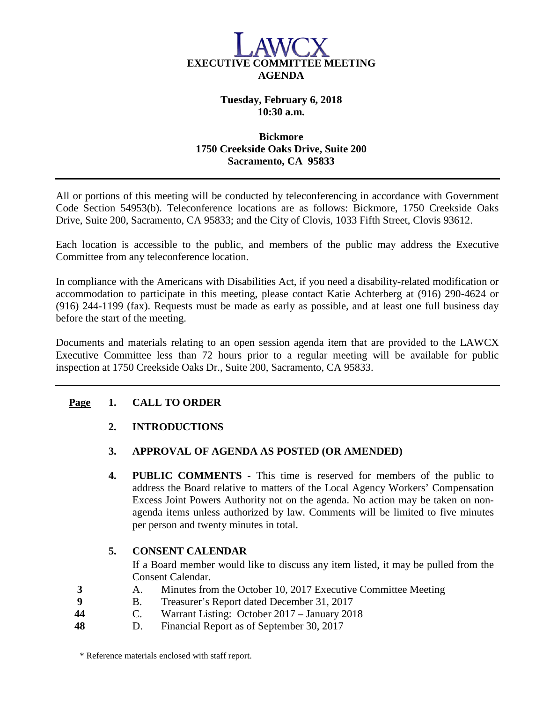

# **Tuesday, February 6, 2018 10:30 a.m.**

#### **Bickmore 1750 Creekside Oaks Drive, Suite 200 Sacramento, CA 95833**

All or portions of this meeting will be conducted by teleconferencing in accordance with Government Code Section 54953(b). Teleconference locations are as follows: Bickmore, 1750 Creekside Oaks Drive, Suite 200, Sacramento, CA 95833; and the City of Clovis, 1033 Fifth Street, Clovis 93612.

Each location is accessible to the public, and members of the public may address the Executive Committee from any teleconference location.

In compliance with the Americans with Disabilities Act, if you need a disability-related modification or accommodation to participate in this meeting, please contact Katie Achterberg at (916) 290-4624 or (916) 244-1199 (fax). Requests must be made as early as possible, and at least one full business day before the start of the meeting.

Documents and materials relating to an open session agenda item that are provided to the LAWCX Executive Committee less than 72 hours prior to a regular meeting will be available for public inspection at 1750 Creekside Oaks Dr., Suite 200, Sacramento, CA 95833.

### **Page 1. CALL TO ORDER**

# **2. INTRODUCTIONS**

### **3. APPROVAL OF AGENDA AS POSTED (OR AMENDED)**

**4. PUBLIC COMMENTS** - This time is reserved for members of the public to address the Board relative to matters of the Local Agency Workers' Compensation Excess Joint Powers Authority not on the agenda. No action may be taken on nonagenda items unless authorized by law. Comments will be limited to five minutes per person and twenty minutes in total.

### **5. CONSENT CALENDAR**

If a Board member would like to discuss any item listed, it may be pulled from the Consent Calendar.

- **3** A. Minutes from the October 10, 2017 Executive Committee Meeting
- **9** B. Treasurer's Report dated December 31, 2017
- **44** C. Warrant Listing: October 2017 January 2018
- **48** D. Financial Report as of September 30, 2017

\* Reference materials enclosed with staff report.